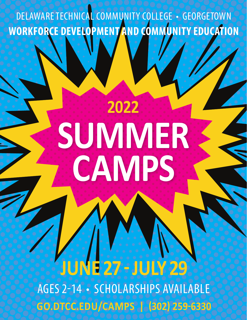DELAWARE TECHNICAL COMMUNITY COLLEGE • GEORGETOWN **WORKFORCE DEVELOPMENT AND COMMUNITY EDUCATION**

## **SUMMER CAMPS 2022**

**JUNE 27 - JULY 29** AGES 2-14 • SCHOLARSHIPS AVAILABLE **GO.DTCC.EDU/CAMPS | (302) 259-6330**